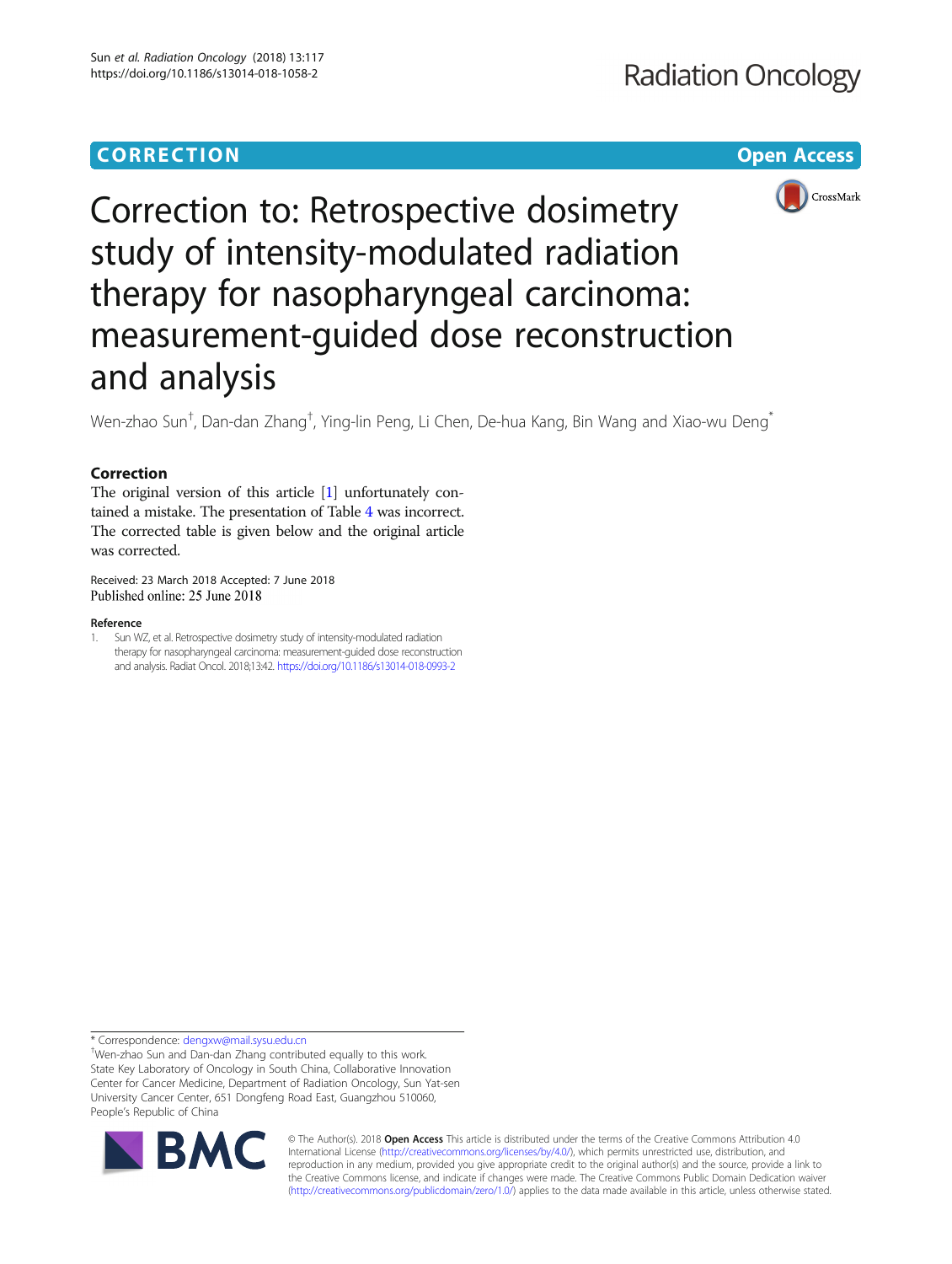### **CORRECTION CORRECTION CORRECTION**

## **Radiation Oncology**



# Correction to: Retrospective dosimetry study of intensity-modulated radiation therapy for nasopharyngeal carcinoma: measurement-guided dose reconstruction and analysis

Wen-zhao Sun<sup>†</sup>, Dan-dan Zhang<sup>†</sup>, Ying-lin Peng, Li Chen, De-hua Kang, Bin Wang and Xiao-wu Deng<sup>\*</sup>

### Correction

The original version of this article [1] unfortunately contained a mistake. The presentation of Table [4](#page-1-0) was incorrect. The corrected table is given below and the original article was corrected.

Received: 23 March 2018 Accepted: 7 June 2018

#### Reference

1. Sun WZ, et al. Retrospective dosimetry study of intensity-modulated radiation therapy for nasopharyngeal carcinoma: measurement-guided dose reconstruction and analysis. Radiat Oncol. 2018;13:42. <https://doi.org/10.1186/s13014-018-0993-2>

\* Correspondence: [dengxw@mail.sysu.edu.cn](mailto:dengxw@mail.sysu.edu.cn) †

Wen-zhao Sun and Dan-dan Zhang contributed equally to this work. State Key Laboratory of Oncology in South China, Collaborative Innovation Center for Cancer Medicine, Department of Radiation Oncology, Sun Yat-sen University Cancer Center, 651 Dongfeng Road East, Guangzhou 510060, People's Republic of China



© The Author(s). 2018 **Open Access** This article is distributed under the terms of the Creative Commons Attribution 4.0 International License [\(http://creativecommons.org/licenses/by/4.0/](http://creativecommons.org/licenses/by/4.0/)), which permits unrestricted use, distribution, and reproduction in any medium, provided you give appropriate credit to the original author(s) and the source, provide a link to the Creative Commons license, and indicate if changes were made. The Creative Commons Public Domain Dedication waiver [\(http://creativecommons.org/publicdomain/zero/1.0/](http://creativecommons.org/publicdomain/zero/1.0/)) applies to the data made available in this article, unless otherwise stated.